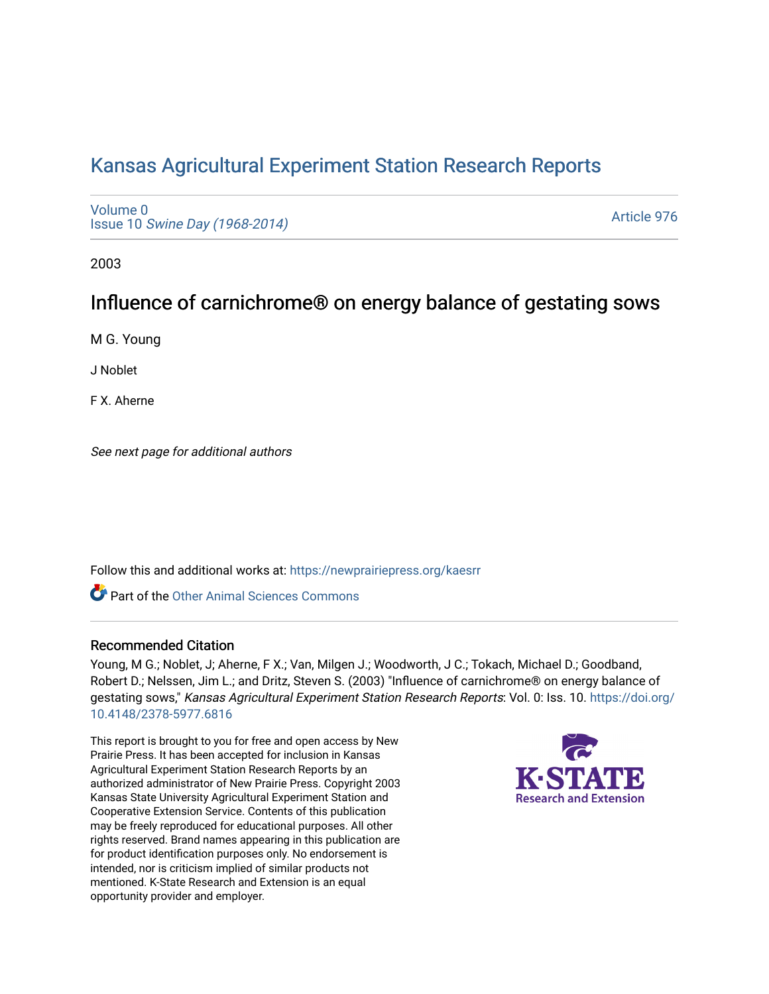# [Kansas Agricultural Experiment Station Research Reports](https://newprairiepress.org/kaesrr)

[Volume 0](https://newprairiepress.org/kaesrr/vol0) Issue 10 [Swine Day \(1968-2014\)](https://newprairiepress.org/kaesrr/vol0/iss10)

[Article 976](https://newprairiepress.org/kaesrr/vol0/iss10/976) 

2003

# Influence of carnichrome® on energy balance of gestating sows

M G. Young

J Noblet

F X. Aherne

See next page for additional authors

Follow this and additional works at: [https://newprairiepress.org/kaesrr](https://newprairiepress.org/kaesrr?utm_source=newprairiepress.org%2Fkaesrr%2Fvol0%2Fiss10%2F976&utm_medium=PDF&utm_campaign=PDFCoverPages) 

Part of the [Other Animal Sciences Commons](http://network.bepress.com/hgg/discipline/82?utm_source=newprairiepress.org%2Fkaesrr%2Fvol0%2Fiss10%2F976&utm_medium=PDF&utm_campaign=PDFCoverPages)

### Recommended Citation

Young, M G.; Noblet, J; Aherne, F X.; Van, Milgen J.; Woodworth, J C.; Tokach, Michael D.; Goodband, Robert D.; Nelssen, Jim L.; and Dritz, Steven S. (2003) "Influence of carnichrome® on energy balance of gestating sows," Kansas Agricultural Experiment Station Research Reports: Vol. 0: Iss. 10. [https://doi.org/](https://doi.org/10.4148/2378-5977.6816) [10.4148/2378-5977.6816](https://doi.org/10.4148/2378-5977.6816)

This report is brought to you for free and open access by New Prairie Press. It has been accepted for inclusion in Kansas Agricultural Experiment Station Research Reports by an authorized administrator of New Prairie Press. Copyright 2003 Kansas State University Agricultural Experiment Station and Cooperative Extension Service. Contents of this publication may be freely reproduced for educational purposes. All other rights reserved. Brand names appearing in this publication are for product identification purposes only. No endorsement is intended, nor is criticism implied of similar products not mentioned. K-State Research and Extension is an equal opportunity provider and employer.

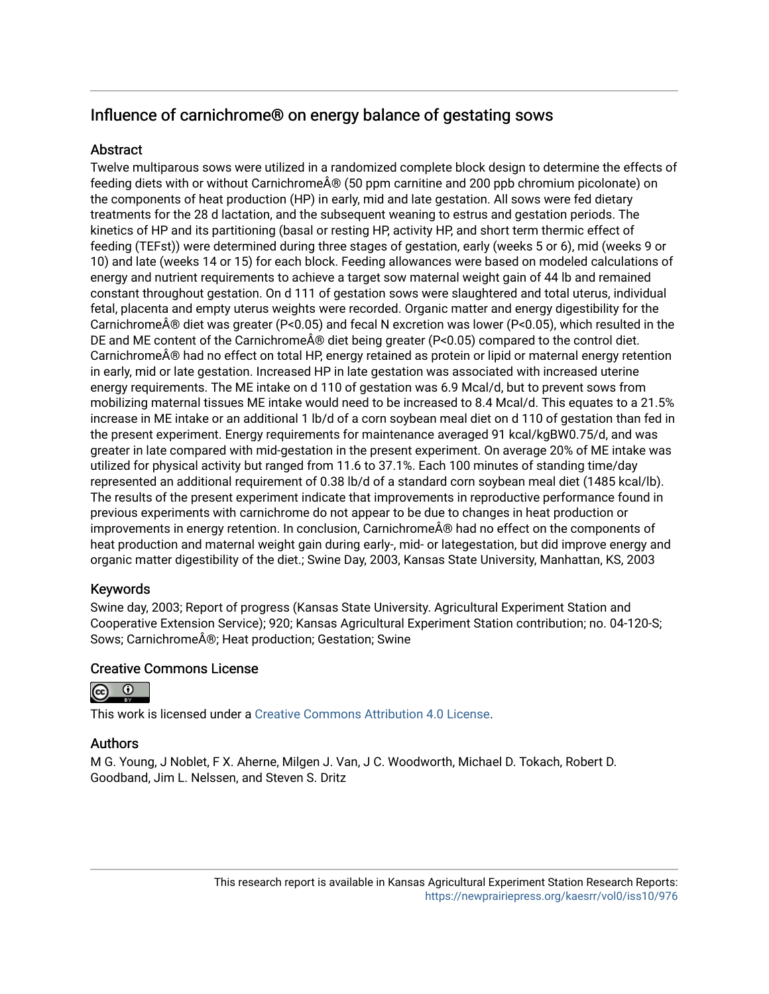# Influence of carnichrome® on energy balance of gestating sows

# **Abstract**

Twelve multiparous sows were utilized in a randomized complete block design to determine the effects of feeding diets with or without Carnichrome $\hat{A} \otimes (50 \text{ ppm}$  carnitine and 200 ppb chromium picolonate) on the components of heat production (HP) in early, mid and late gestation. All sows were fed dietary treatments for the 28 d lactation, and the subsequent weaning to estrus and gestation periods. The kinetics of HP and its partitioning (basal or resting HP, activity HP, and short term thermic effect of feeding (TEFst)) were determined during three stages of gestation, early (weeks 5 or 6), mid (weeks 9 or 10) and late (weeks 14 or 15) for each block. Feeding allowances were based on modeled calculations of energy and nutrient requirements to achieve a target sow maternal weight gain of 44 lb and remained constant throughout gestation. On d 111 of gestation sows were slaughtered and total uterus, individual fetal, placenta and empty uterus weights were recorded. Organic matter and energy digestibility for the Carnichrome® diet was greater (P<0.05) and fecal N excretion was lower (P<0.05), which resulted in the DE and ME content of the Carnichrome $\hat{A}\circledast$  diet being greater (P<0.05) compared to the control diet. Carnichrome $\hat{A}$ ® had no effect on total HP, energy retained as protein or lipid or maternal energy retention in early, mid or late gestation. Increased HP in late gestation was associated with increased uterine energy requirements. The ME intake on d 110 of gestation was 6.9 Mcal/d, but to prevent sows from mobilizing maternal tissues ME intake would need to be increased to 8.4 Mcal/d. This equates to a 21.5% increase in ME intake or an additional 1 lb/d of a corn soybean meal diet on d 110 of gestation than fed in the present experiment. Energy requirements for maintenance averaged 91 kcal/kgBW0.75/d, and was greater in late compared with mid-gestation in the present experiment. On average 20% of ME intake was utilized for physical activity but ranged from 11.6 to 37.1%. Each 100 minutes of standing time/day represented an additional requirement of 0.38 lb/d of a standard corn soybean meal diet (1485 kcal/lb). The results of the present experiment indicate that improvements in reproductive performance found in previous experiments with carnichrome do not appear to be due to changes in heat production or improvements in energy retention. In conclusion, Carnichrome® had no effect on the components of heat production and maternal weight gain during early-, mid- or lategestation, but did improve energy and organic matter digestibility of the diet.; Swine Day, 2003, Kansas State University, Manhattan, KS, 2003

# Keywords

Swine day, 2003; Report of progress (Kansas State University. Agricultural Experiment Station and Cooperative Extension Service); 920; Kansas Agricultural Experiment Station contribution; no. 04-120-S; Sows; Carnichrome®; Heat production; Gestation; Swine

# Creative Commons License



This work is licensed under a [Creative Commons Attribution 4.0 License](https://creativecommons.org/licenses/by/4.0/).

# Authors

M G. Young, J Noblet, F X. Aherne, Milgen J. Van, J C. Woodworth, Michael D. Tokach, Robert D. Goodband, Jim L. Nelssen, and Steven S. Dritz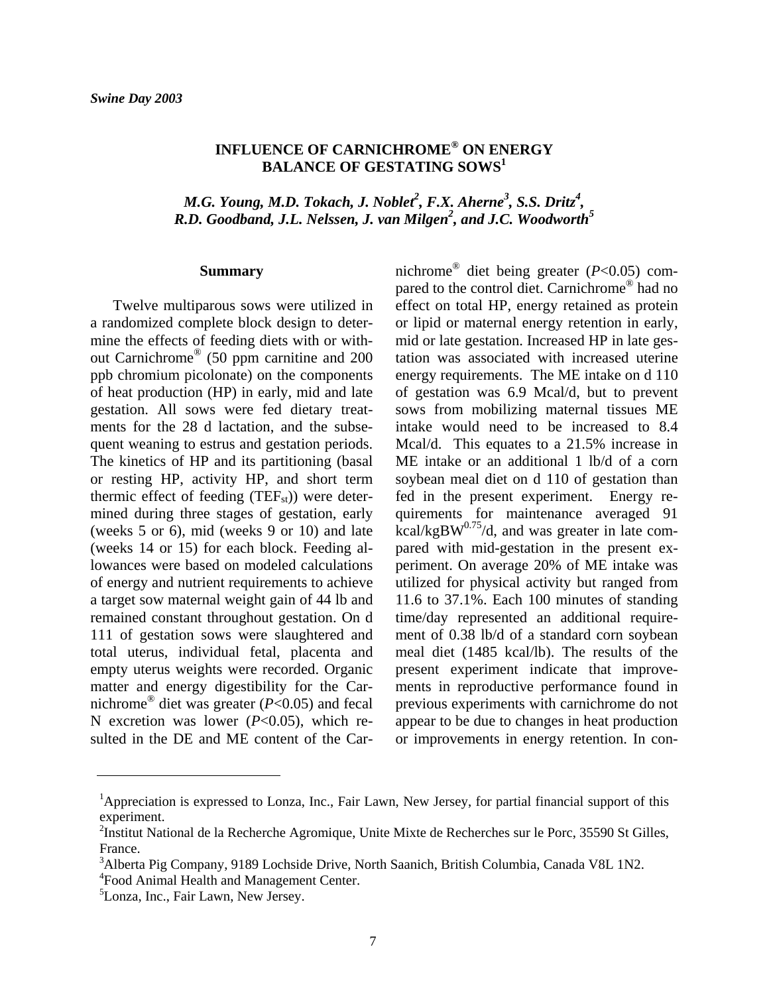# **INFLUENCE OF CARNICHROME® ON ENERGY BALANCE OF GESTATING SOWS1**

*M.G. Young, M.D. Tokach, J. Noblet<sup>2</sup>, F.X. Aherne<sup>3</sup>, S.S. Dritz<sup>4</sup>, R.D. Goodband, J.L. Nelssen, J. van Milgen<sup>2</sup> , and J.C. Woodworth5* 

#### **Summary**

Twelve multiparous sows were utilized in a randomized complete block design to determine the effects of feeding diets with or without Carnichrome® (50 ppm carnitine and 200 ppb chromium picolonate) on the components of heat production (HP) in early, mid and late gestation. All sows were fed dietary treatments for the 28 d lactation, and the subsequent weaning to estrus and gestation periods. The kinetics of HP and its partitioning (basal or resting HP, activity HP, and short term thermic effect of feeding  $(TEF_{st})$ ) were determined during three stages of gestation, early (weeks 5 or 6), mid (weeks 9 or 10) and late (weeks 14 or 15) for each block. Feeding allowances were based on modeled calculations of energy and nutrient requirements to achieve a target sow maternal weight gain of 44 lb and remained constant throughout gestation. On d 111 of gestation sows were slaughtered and total uterus, individual fetal, placenta and empty uterus weights were recorded. Organic matter and energy digestibility for the Carnichrome® diet was greater (*P*<0.05) and fecal N excretion was lower (*P*<0.05), which resulted in the DE and ME content of the Carnichrome® diet being greater (*P*<0.05) compared to the control diet. Carnichrome® had no effect on total HP, energy retained as protein or lipid or maternal energy retention in early, mid or late gestation. Increased HP in late gestation was associated with increased uterine energy requirements. The ME intake on d 110 of gestation was 6.9 Mcal/d, but to prevent sows from mobilizing maternal tissues ME intake would need to be increased to 8.4 Mcal/d. This equates to a 21.5% increase in ME intake or an additional 1 lb/d of a corn soybean meal diet on d 110 of gestation than fed in the present experiment. Energy requirements for maintenance averaged 91  $kcal/kgBW<sup>0.75</sup>/d$ , and was greater in late compared with mid-gestation in the present experiment. On average 20% of ME intake was utilized for physical activity but ranged from 11.6 to 37.1%. Each 100 minutes of standing time/day represented an additional requirement of 0.38 lb/d of a standard corn soybean meal diet (1485 kcal/lb). The results of the present experiment indicate that improvements in reproductive performance found in previous experiments with carnichrome do not appear to be due to changes in heat production or improvements in energy retention. In con-

l

<sup>&</sup>lt;sup>1</sup>Appreciation is expressed to Lonza, Inc., Fair Lawn, New Jersey, for partial financial support of this experiment.

<sup>&</sup>lt;sup>2</sup>Institut National de la Recherche Agromique, Unite Mixte de Recherches sur le Porc, 35590 St Gilles, France.

<sup>&</sup>lt;sup>3</sup>Alberta Pig Company, 9189 Lochside Drive, North Saanich, British Columbia, Canada V8L 1N2. 4 Food Animal Health and Management Center.

<sup>&</sup>lt;sup>5</sup>Lonza, Inc., Fair Lawn, New Jersey.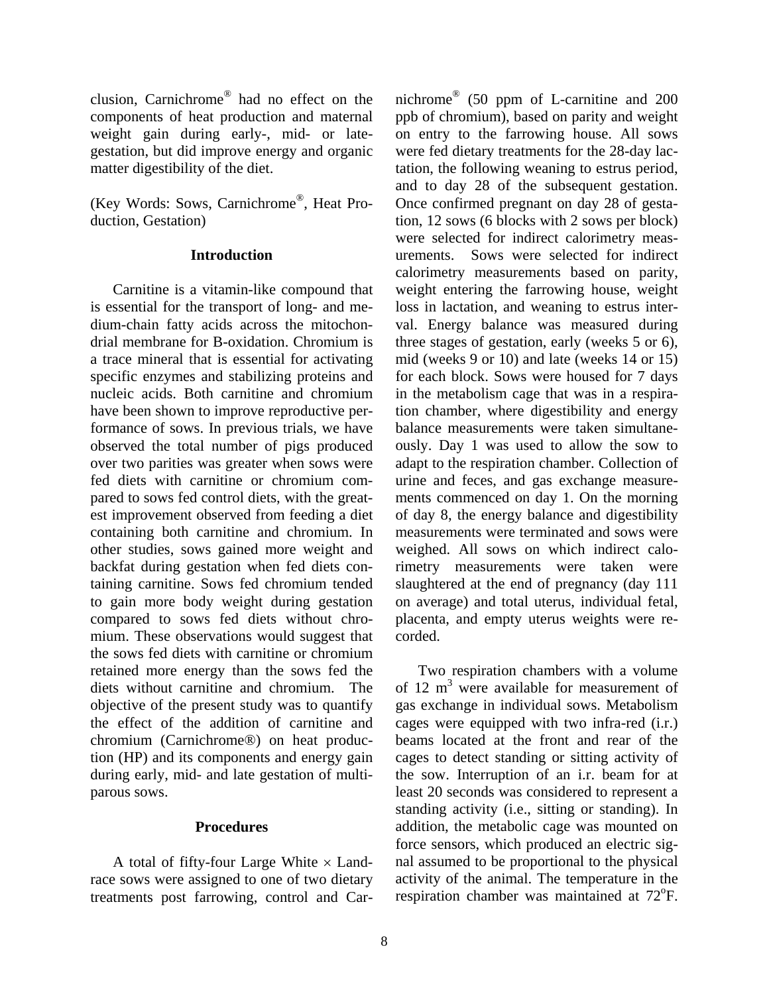clusion, Carnichrome® had no effect on the components of heat production and maternal weight gain during early-, mid- or lategestation, but did improve energy and organic matter digestibility of the diet.

(Key Words: Sows, Carnichrome®, Heat Production, Gestation)

### **Introduction**

 Carnitine is a vitamin-like compound that is essential for the transport of long- and medium-chain fatty acids across the mitochondrial membrane for B-oxidation. Chromium is a trace mineral that is essential for activating specific enzymes and stabilizing proteins and nucleic acids. Both carnitine and chromium have been shown to improve reproductive performance of sows. In previous trials, we have observed the total number of pigs produced over two parities was greater when sows were fed diets with carnitine or chromium compared to sows fed control diets, with the greatest improvement observed from feeding a diet containing both carnitine and chromium. In other studies, sows gained more weight and backfat during gestation when fed diets containing carnitine. Sows fed chromium tended to gain more body weight during gestation compared to sows fed diets without chromium. These observations would suggest that the sows fed diets with carnitine or chromium retained more energy than the sows fed the diets without carnitine and chromium. The objective of the present study was to quantify the effect of the addition of carnitine and chromium (Carnichrome®) on heat production (HP) and its components and energy gain during early, mid- and late gestation of multiparous sows.

### **Procedures**

A total of fifty-four Large White  $\times$  Landrace sows were assigned to one of two dietary treatments post farrowing, control and Car-

nichrome® (50 ppm of L-carnitine and 200 ppb of chromium), based on parity and weight on entry to the farrowing house. All sows were fed dietary treatments for the 28-day lactation, the following weaning to estrus period, and to day 28 of the subsequent gestation. Once confirmed pregnant on day 28 of gestation, 12 sows (6 blocks with 2 sows per block) were selected for indirect calorimetry measurements. Sows were selected for indirect calorimetry measurements based on parity, weight entering the farrowing house, weight loss in lactation, and weaning to estrus interval. Energy balance was measured during three stages of gestation, early (weeks 5 or 6), mid (weeks 9 or 10) and late (weeks 14 or 15) for each block. Sows were housed for 7 days in the metabolism cage that was in a respiration chamber, where digestibility and energy balance measurements were taken simultaneously. Day 1 was used to allow the sow to adapt to the respiration chamber. Collection of urine and feces, and gas exchange measurements commenced on day 1. On the morning of day 8, the energy balance and digestibility measurements were terminated and sows were weighed. All sows on which indirect calorimetry measurements were taken were slaughtered at the end of pregnancy (day 111 on average) and total uterus, individual fetal, placenta, and empty uterus weights were recorded.

 Two respiration chambers with a volume of 12  $m<sup>3</sup>$  were available for measurement of gas exchange in individual sows. Metabolism cages were equipped with two infra-red (i.r.) beams located at the front and rear of the cages to detect standing or sitting activity of the sow. Interruption of an i.r. beam for at least 20 seconds was considered to represent a standing activity (i.e., sitting or standing). In addition, the metabolic cage was mounted on force sensors, which produced an electric signal assumed to be proportional to the physical activity of the animal. The temperature in the respiration chamber was maintained at 72°F.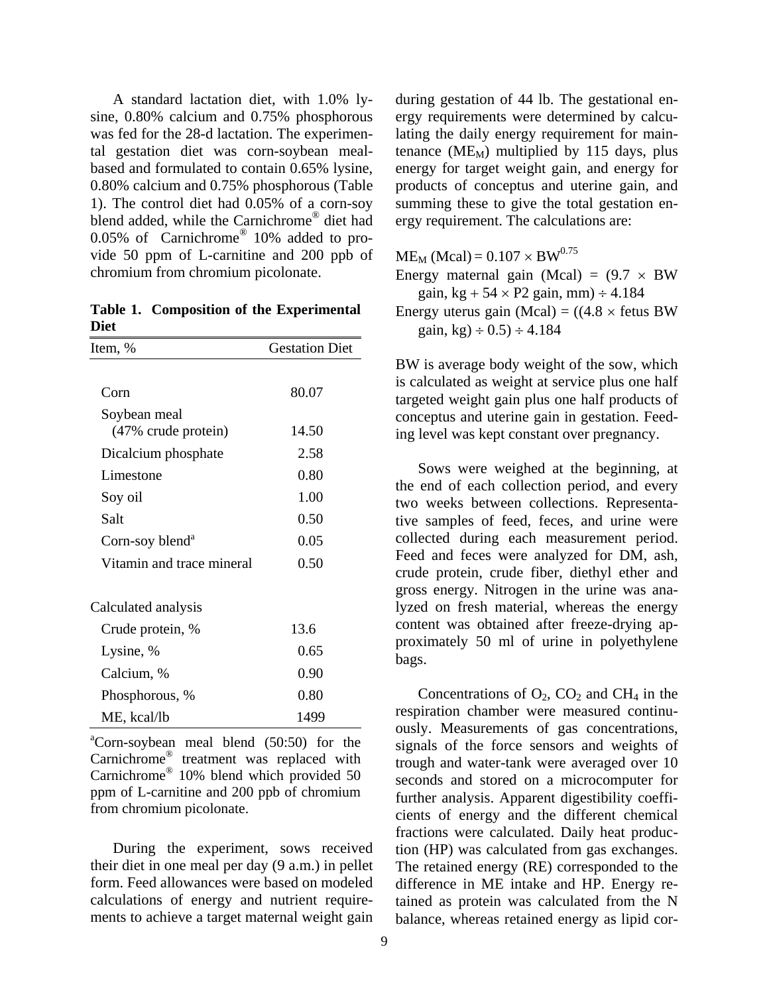A standard lactation diet, with 1.0% lysine, 0.80% calcium and 0.75% phosphorous was fed for the 28-d lactation. The experimental gestation diet was corn-soybean mealbased and formulated to contain 0.65% lysine, 0.80% calcium and 0.75% phosphorous (Table 1). The control diet had 0.05% of a corn-soy blend added, while the Carnichrome® diet had 0.05% of Carnichrome® 10% added to provide 50 ppm of L-carnitine and 200 ppb of chromium from chromium picolonate.

**Table 1. Composition of the Experimental Diet** 

| Item, %                     | <b>Gestation Diet</b> |
|-----------------------------|-----------------------|
|                             |                       |
| Corn                        | 80.07                 |
| Soybean meal                |                       |
| (47% crude protein)         | 14.50                 |
| Dicalcium phosphate         | 2.58                  |
| Limestone                   | 0.80                  |
| Soy oil                     | 1.00                  |
| Salt                        | 0.50                  |
| Corn-soy blend <sup>a</sup> | 0.05                  |
| Vitamin and trace mineral   | 0.50                  |
| Calculated analysis         |                       |
| Crude protein, %            | 13.6                  |
| Lysine, %                   | 0.65                  |
| Calcium, %                  | 0.90                  |
| Phosphorous, %              | 0.80                  |
| ME, kcal/lb                 | 1499                  |
|                             |                       |

a Corn-soybean meal blend (50:50) for the Carnichrome® treatment was replaced with Carnichrome® 10% blend which provided 50 ppm of L-carnitine and 200 ppb of chromium from chromium picolonate.

 During the experiment, sows received their diet in one meal per day (9 a.m.) in pellet form. Feed allowances were based on modeled calculations of energy and nutrient requirements to achieve a target maternal weight gain during gestation of 44 lb. The gestational energy requirements were determined by calculating the daily energy requirement for maintenance ( $ME_M$ ) multiplied by 115 days, plus energy for target weight gain, and energy for products of conceptus and uterine gain, and summing these to give the total gestation energy requirement. The calculations are:

 $ME_M$  (Mcal) = 0.107  $\times$  BW<sup>0.75</sup> Energy maternal gain (Mcal) =  $(9.7 \times BW)$ gain, kg +  $54 \times P2$  gain, mm)  $\div 4.184$ Energy uterus gain (Mcal) =  $((4.8 \times$  fetus BW gain, kg)  $\div$  0.5)  $\div$  4.184

BW is average body weight of the sow, which is calculated as weight at service plus one half targeted weight gain plus one half products of conceptus and uterine gain in gestation. Feeding level was kept constant over pregnancy.

 Sows were weighed at the beginning, at the end of each collection period, and every two weeks between collections. Representative samples of feed, feces, and urine were collected during each measurement period. Feed and feces were analyzed for DM, ash, crude protein, crude fiber, diethyl ether and gross energy. Nitrogen in the urine was analyzed on fresh material, whereas the energy content was obtained after freeze-drying approximately 50 ml of urine in polyethylene bags.

Concentrations of  $O_2$ ,  $CO_2$  and  $CH_4$  in the respiration chamber were measured continuously. Measurements of gas concentrations, signals of the force sensors and weights of trough and water-tank were averaged over 10 seconds and stored on a microcomputer for further analysis. Apparent digestibility coefficients of energy and the different chemical fractions were calculated. Daily heat production (HP) was calculated from gas exchanges. The retained energy (RE) corresponded to the difference in ME intake and HP. Energy retained as protein was calculated from the N balance, whereas retained energy as lipid cor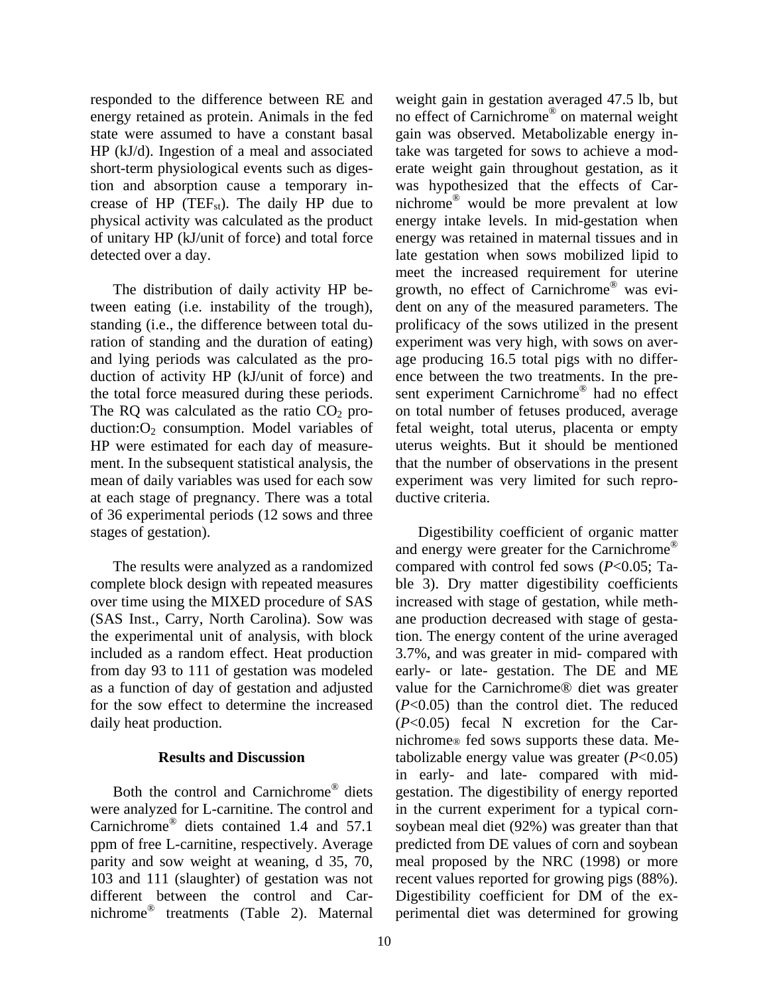responded to the difference between RE and energy retained as protein. Animals in the fed state were assumed to have a constant basal HP (kJ/d). Ingestion of a meal and associated short-term physiological events such as digestion and absorption cause a temporary increase of HP (TEF<sub>st</sub>). The daily HP due to physical activity was calculated as the product of unitary HP (kJ/unit of force) and total force detected over a day.

 The distribution of daily activity HP between eating (i.e. instability of the trough), standing (i.e., the difference between total duration of standing and the duration of eating) and lying periods was calculated as the production of activity HP (kJ/unit of force) and the total force measured during these periods. The RQ was calculated as the ratio  $CO<sub>2</sub>$  production: $O_2$  consumption. Model variables of HP were estimated for each day of measurement. In the subsequent statistical analysis, the mean of daily variables was used for each sow at each stage of pregnancy. There was a total of 36 experimental periods (12 sows and three stages of gestation).

 The results were analyzed as a randomized complete block design with repeated measures over time using the MIXED procedure of SAS (SAS Inst., Carry, North Carolina). Sow was the experimental unit of analysis, with block included as a random effect. Heat production from day 93 to 111 of gestation was modeled as a function of day of gestation and adjusted for the sow effect to determine the increased daily heat production.

### **Results and Discussion**

 Both the control and Carnichrome® diets were analyzed for L-carnitine. The control and Carnichrome® diets contained 1.4 and 57.1 ppm of free L-carnitine, respectively. Average parity and sow weight at weaning, d 35, 70, 103 and 111 (slaughter) of gestation was not different between the control and Carnichrome® treatments (Table 2). Maternal weight gain in gestation averaged 47.5 lb, but no effect of Carnichrome® on maternal weight gain was observed. Metabolizable energy intake was targeted for sows to achieve a moderate weight gain throughout gestation, as it was hypothesized that the effects of Carnichrome® would be more prevalent at low energy intake levels. In mid-gestation when energy was retained in maternal tissues and in late gestation when sows mobilized lipid to meet the increased requirement for uterine growth, no effect of Carnichrome® was evident on any of the measured parameters. The prolificacy of the sows utilized in the present experiment was very high, with sows on average producing 16.5 total pigs with no difference between the two treatments. In the present experiment Carnichrome® had no effect on total number of fetuses produced, average fetal weight, total uterus, placenta or empty uterus weights. But it should be mentioned that the number of observations in the present experiment was very limited for such reproductive criteria.

 Digestibility coefficient of organic matter and energy were greater for the Carnichrome® compared with control fed sows (*P*<0.05; Table 3). Dry matter digestibility coefficients increased with stage of gestation, while methane production decreased with stage of gestation. The energy content of the urine averaged 3.7%, and was greater in mid- compared with early- or late- gestation. The DE and ME value for the Carnichrome® diet was greater (*P*<0.05) than the control diet. The reduced (*P*<0.05) fecal N excretion for the Carnichrome® fed sows supports these data. Metabolizable energy value was greater (*P*<0.05) in early- and late- compared with midgestation. The digestibility of energy reported in the current experiment for a typical cornsoybean meal diet (92%) was greater than that predicted from DE values of corn and soybean meal proposed by the NRC (1998) or more recent values reported for growing pigs (88%). Digestibility coefficient for DM of the experimental diet was determined for growing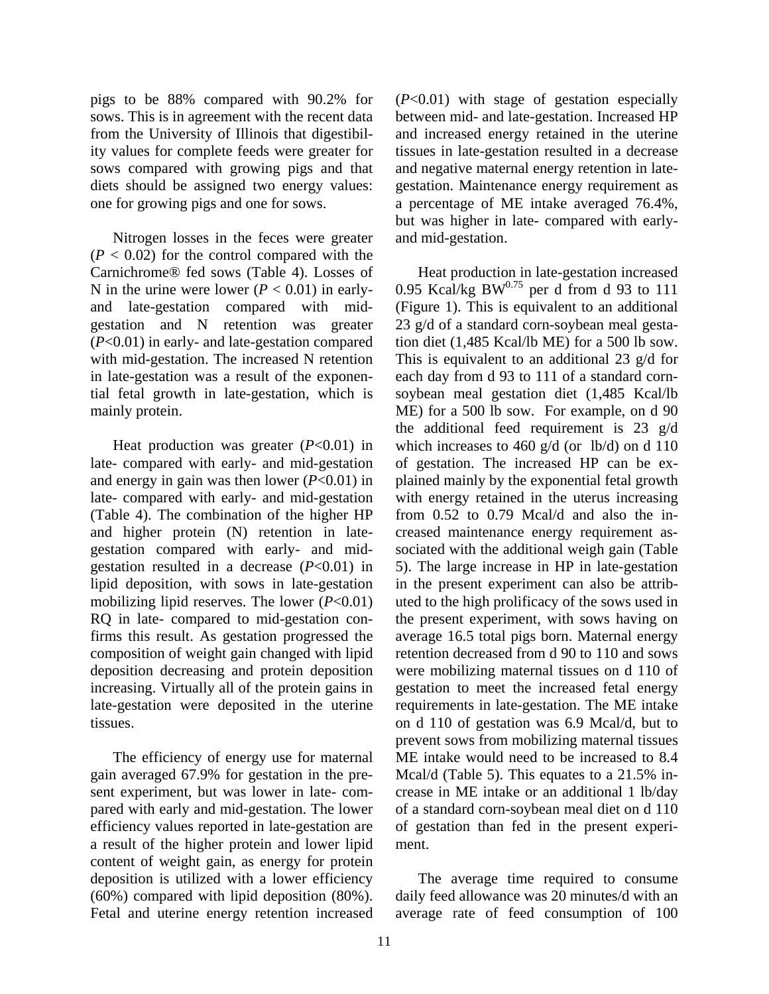pigs to be 88% compared with 90.2% for sows. This is in agreement with the recent data from the University of Illinois that digestibility values for complete feeds were greater for sows compared with growing pigs and that diets should be assigned two energy values: one for growing pigs and one for sows.

 Nitrogen losses in the feces were greater  $(P < 0.02)$  for the control compared with the Carnichrome® fed sows (Table 4). Losses of N in the urine were lower  $(P < 0.01)$  in earlyand late-gestation compared with midgestation and N retention was greater (*P*<0.01) in early- and late-gestation compared with mid-gestation. The increased N retention in late-gestation was a result of the exponential fetal growth in late-gestation, which is mainly protein.

 Heat production was greater (*P*<0.01) in late- compared with early- and mid-gestation and energy in gain was then lower (*P*<0.01) in late- compared with early- and mid-gestation (Table 4). The combination of the higher HP and higher protein (N) retention in lategestation compared with early- and midgestation resulted in a decrease (*P*<0.01) in lipid deposition, with sows in late-gestation mobilizing lipid reserves. The lower (*P*<0.01) RQ in late- compared to mid-gestation confirms this result. As gestation progressed the composition of weight gain changed with lipid deposition decreasing and protein deposition increasing. Virtually all of the protein gains in late-gestation were deposited in the uterine tissues.

 The efficiency of energy use for maternal gain averaged 67.9% for gestation in the present experiment, but was lower in late- compared with early and mid-gestation. The lower efficiency values reported in late-gestation are a result of the higher protein and lower lipid content of weight gain, as energy for protein deposition is utilized with a lower efficiency (60%) compared with lipid deposition (80%). Fetal and uterine energy retention increased

(*P*<0.01) with stage of gestation especially between mid- and late-gestation. Increased HP and increased energy retained in the uterine tissues in late-gestation resulted in a decrease and negative maternal energy retention in lategestation. Maintenance energy requirement as a percentage of ME intake averaged 76.4%, but was higher in late- compared with earlyand mid-gestation.

 Heat production in late-gestation increased 0.95 Kcal/kg BW $^{0.75}$  per d from d 93 to 111 (Figure 1). This is equivalent to an additional 23 g/d of a standard corn-soybean meal gestation diet (1,485 Kcal/lb ME) for a 500 lb sow. This is equivalent to an additional 23 g/d for each day from d 93 to 111 of a standard cornsoybean meal gestation diet (1,485 Kcal/lb ME) for a 500 lb sow. For example, on d 90 the additional feed requirement is 23 g/d which increases to 460 g/d (or lb/d) on d 110 of gestation. The increased HP can be explained mainly by the exponential fetal growth with energy retained in the uterus increasing from 0.52 to 0.79 Mcal/d and also the increased maintenance energy requirement associated with the additional weigh gain (Table 5). The large increase in HP in late-gestation in the present experiment can also be attributed to the high prolificacy of the sows used in the present experiment, with sows having on average 16.5 total pigs born. Maternal energy retention decreased from d 90 to 110 and sows were mobilizing maternal tissues on d 110 of gestation to meet the increased fetal energy requirements in late-gestation. The ME intake on d 110 of gestation was 6.9 Mcal/d, but to prevent sows from mobilizing maternal tissues ME intake would need to be increased to 8.4 Mcal/d (Table 5). This equates to a 21.5% increase in ME intake or an additional 1 lb/day of a standard corn-soybean meal diet on d 110 of gestation than fed in the present experiment.

 The average time required to consume daily feed allowance was 20 minutes/d with an average rate of feed consumption of 100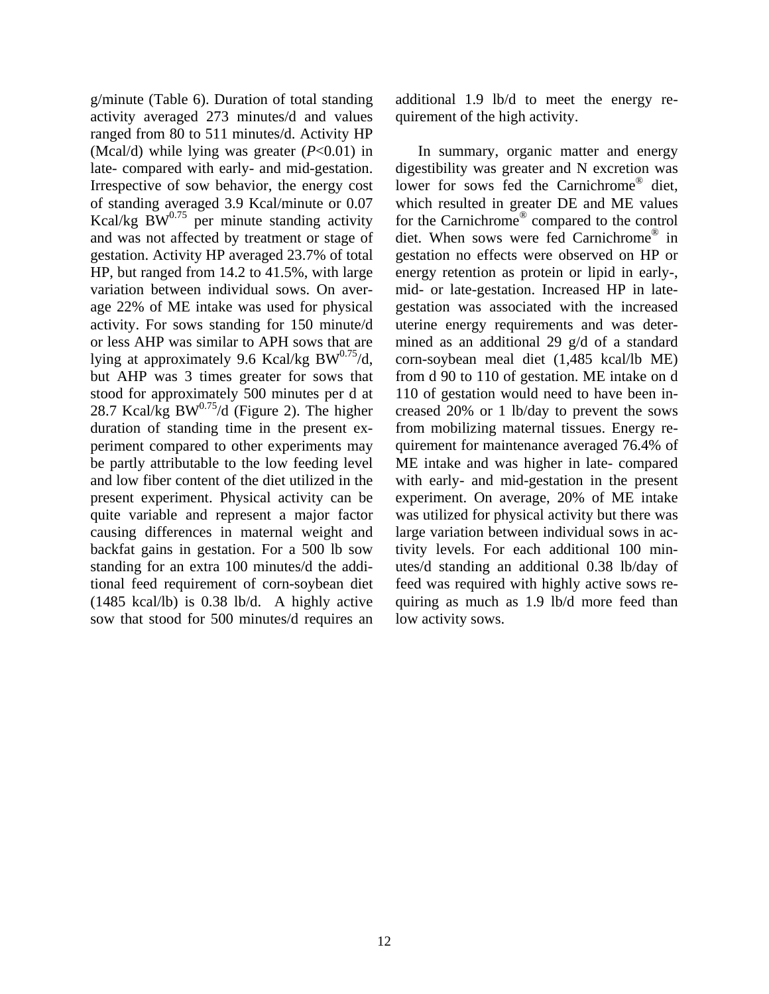g/minute (Table 6). Duration of total standing activity averaged 273 minutes/d and values ranged from 80 to 511 minutes/d. Activity HP (Mcal/d) while lying was greater (*P*<0.01) in late- compared with early- and mid-gestation. Irrespective of sow behavior, the energy cost of standing averaged 3.9 Kcal/minute or 0.07 Kcal/kg  $\cancel{BW}^{0.75}$  per minute standing activity and was not affected by treatment or stage of gestation. Activity HP averaged 23.7% of total HP, but ranged from 14.2 to 41.5%, with large variation between individual sows. On average 22% of ME intake was used for physical activity. For sows standing for 150 minute/d or less AHP was similar to APH sows that are lying at approximately 9.6 Kcal/kg BW $^{0.75}$ /d, but AHP was 3 times greater for sows that stood for approximately 500 minutes per d at 28.7 Kcal/kg BW $^{0.75}$ /d (Figure 2). The higher duration of standing time in the present experiment compared to other experiments may be partly attributable to the low feeding level and low fiber content of the diet utilized in the present experiment. Physical activity can be quite variable and represent a major factor causing differences in maternal weight and backfat gains in gestation. For a 500 lb sow standing for an extra 100 minutes/d the additional feed requirement of corn-soybean diet (1485 kcal/lb) is 0.38 lb/d. A highly active sow that stood for 500 minutes/d requires an

additional 1.9 lb/d to meet the energy requirement of the high activity.

 In summary, organic matter and energy digestibility was greater and N excretion was lower for sows fed the Carnichrome<sup>®</sup> diet, which resulted in greater DE and ME values for the Carnichrome® compared to the control diet. When sows were fed Carnichrome® in gestation no effects were observed on HP or energy retention as protein or lipid in early-, mid- or late-gestation. Increased HP in lategestation was associated with the increased uterine energy requirements and was determined as an additional 29 g/d of a standard corn-soybean meal diet (1,485 kcal/lb ME) from d 90 to 110 of gestation. ME intake on d 110 of gestation would need to have been increased 20% or 1 lb/day to prevent the sows from mobilizing maternal tissues. Energy requirement for maintenance averaged 76.4% of ME intake and was higher in late- compared with early- and mid-gestation in the present experiment. On average, 20% of ME intake was utilized for physical activity but there was large variation between individual sows in activity levels. For each additional 100 minutes/d standing an additional 0.38 lb/day of feed was required with highly active sows requiring as much as 1.9 lb/d more feed than low activity sows.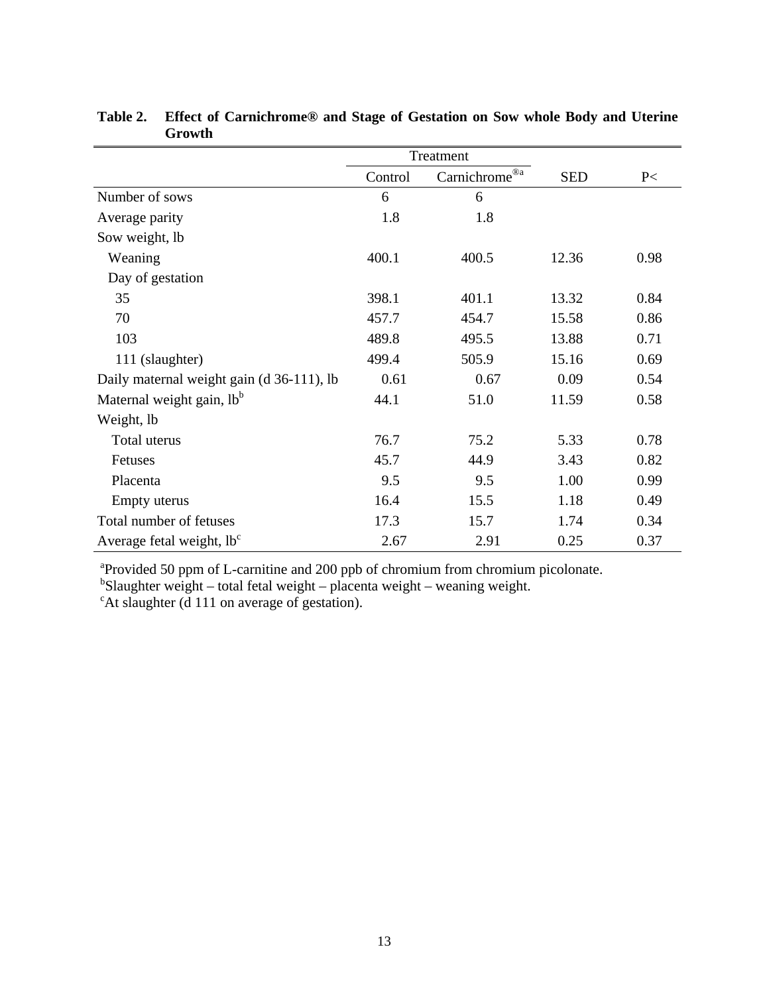|                                           |         | Treatment     |            |      |
|-------------------------------------------|---------|---------------|------------|------|
|                                           | Control | Carnichrome®a | <b>SED</b> | P<   |
| Number of sows                            | 6       | 6             |            |      |
| Average parity                            | 1.8     | 1.8           |            |      |
| Sow weight, lb                            |         |               |            |      |
| Weaning                                   | 400.1   | 400.5         | 12.36      | 0.98 |
| Day of gestation                          |         |               |            |      |
| 35                                        | 398.1   | 401.1         | 13.32      | 0.84 |
| 70                                        | 457.7   | 454.7         | 15.58      | 0.86 |
| 103                                       | 489.8   | 495.5         | 13.88      | 0.71 |
| 111 (slaughter)                           | 499.4   | 505.9         | 15.16      | 0.69 |
| Daily maternal weight gain (d 36-111), lb | 0.61    | 0.67          | 0.09       | 0.54 |
| Maternal weight gain, lb <sup>b</sup>     | 44.1    | 51.0          | 11.59      | 0.58 |
| Weight, lb                                |         |               |            |      |
| Total uterus                              | 76.7    | 75.2          | 5.33       | 0.78 |
| <b>Fetuses</b>                            | 45.7    | 44.9          | 3.43       | 0.82 |
| Placenta                                  | 9.5     | 9.5           | 1.00       | 0.99 |
| Empty uterus                              | 16.4    | 15.5          | 1.18       | 0.49 |
| Total number of fetuses                   | 17.3    | 15.7          | 1.74       | 0.34 |
| Average fetal weight, lb <sup>c</sup>     | 2.67    | 2.91          | 0.25       | 0.37 |

**Table 2. Effect of Carnichrome® and Stage of Gestation on Sow whole Body and Uterine Growth** 

a Provided 50 ppm of L-carnitine and 200 ppb of chromium from chromium picolonate. b Slaughter weight – total fetal weight – placenta weight – weaning weight.

<sup>c</sup>At slaughter (d 111 on average of gestation).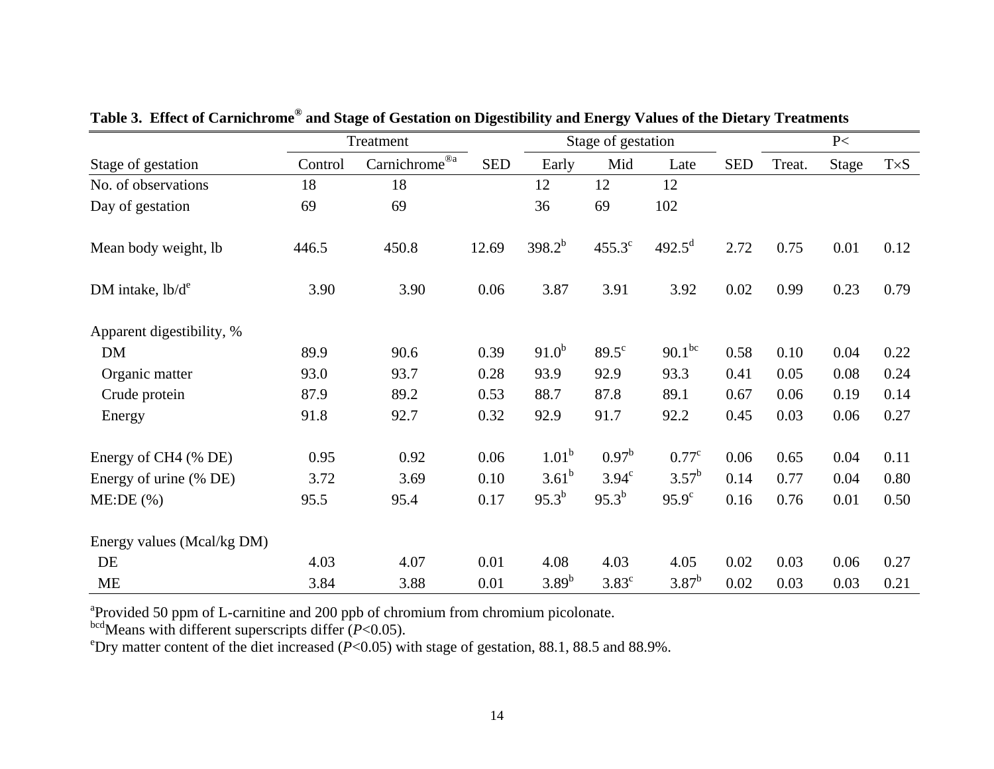|                            |         | Treatment                                         |            |             | Stage of gestation |                    |            | P<     |       |             |
|----------------------------|---------|---------------------------------------------------|------------|-------------|--------------------|--------------------|------------|--------|-------|-------------|
| Stage of gestation         | Control | Carnichrome $\overline{\overset{\circ}{\circ}^a}$ | <b>SED</b> | Early       | Mid                | Late               | <b>SED</b> | Treat. | Stage | $T\times S$ |
| No. of observations        | 18      | 18                                                |            | 12          | 12                 | 12                 |            |        |       |             |
| Day of gestation           | 69      | 69                                                |            | 36          | 69                 | 102                |            |        |       |             |
| Mean body weight, lb       | 446.5   | 450.8                                             | 12.69      | $398.2^{b}$ | $455.3^{\circ}$    | $492.5^{\text{d}}$ | 2.72       | 0.75   | 0.01  | 0.12        |
| DM intake, $lb/d^e$        | 3.90    | 3.90                                              | 0.06       | 3.87        | 3.91               | 3.92               | 0.02       | 0.99   | 0.23  | 0.79        |
| Apparent digestibility, %  |         |                                                   |            |             |                    |                    |            |        |       |             |
| <b>DM</b>                  | 89.9    | 90.6                                              | 0.39       | $91.0^{b}$  | $89.5^{\circ}$     | $90.1^{bc}$        | 0.58       | 0.10   | 0.04  | 0.22        |
| Organic matter             | 93.0    | 93.7                                              | 0.28       | 93.9        | 92.9               | 93.3               | 0.41       | 0.05   | 0.08  | 0.24        |
| Crude protein              | 87.9    | 89.2                                              | 0.53       | 88.7        | 87.8               | 89.1               | 0.67       | 0.06   | 0.19  | 0.14        |
| Energy                     | 91.8    | 92.7                                              | 0.32       | 92.9        | 91.7               | 92.2               | 0.45       | 0.03   | 0.06  | 0.27        |
| Energy of CH4 (% DE)       | 0.95    | 0.92                                              | 0.06       | $1.01^b$    | $0.97^{\rm b}$     | $0.77^{\circ}$     | 0.06       | 0.65   | 0.04  | 0.11        |
| Energy of urine (% DE)     | 3.72    | 3.69                                              | 0.10       | $3.61^{b}$  | $3.94^{\circ}$     | $3.57^{\rm b}$     | 0.14       | 0.77   | 0.04  | 0.80        |
| ME:DE(%)                   | 95.5    | 95.4                                              | 0.17       | $95.3^{b}$  | $95.3^{b}$         | $95.9^{\circ}$     | 0.16       | 0.76   | 0.01  | 0.50        |
| Energy values (Mcal/kg DM) |         |                                                   |            |             |                    |                    |            |        |       |             |
| DE                         | 4.03    | 4.07                                              | 0.01       | 4.08        | 4.03               | 4.05               | 0.02       | 0.03   | 0.06  | 0.27        |
| <b>ME</b>                  | 3.84    | 3.88                                              | 0.01       | $3.89^{b}$  | $3.83^{\circ}$     | $3.87^b$           | 0.02       | 0.03   | 0.03  | 0.21        |

**Table 3. Effect of Carnichrome® and Stage of Gestation on Digestibility and Energy Values of the Dietary Treatments** 

<sup>a</sup>Provided 50 ppm of L-carnitine and 200 ppb of chromium from chromium picolonate.

bcdMeans with different superscripts differ (*P*<0.05).

<sup>e</sup>Dry matter content of the diet increased ( $P<0.05$ ) with stage of gestation, 88.1, 88.5 and 88.9%.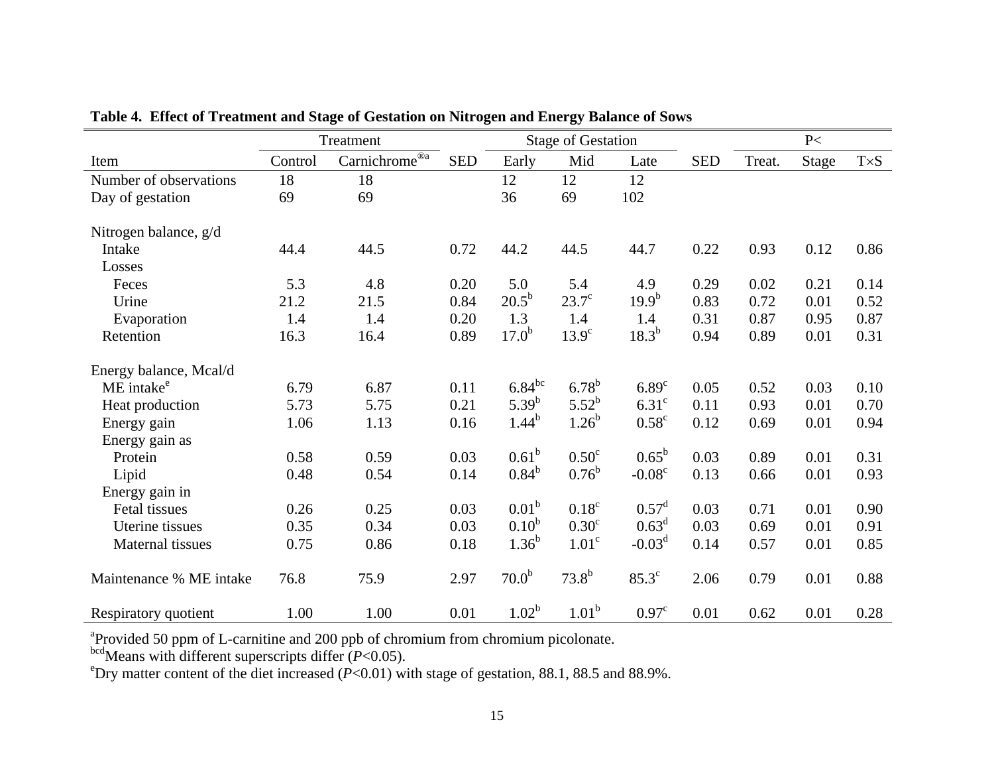|                         | Treatment |                           |            |                   | <b>Stage of Gestation</b> |                   |            |        | P<    |             |
|-------------------------|-----------|---------------------------|------------|-------------------|---------------------------|-------------------|------------|--------|-------|-------------|
| Item                    | Control   | $Carnichrome^{\circledR}$ | <b>SED</b> | Early             | Mid                       | Late              | <b>SED</b> | Treat. | Stage | $T\times S$ |
| Number of observations  | 18        | 18                        |            | 12                | 12                        | 12                |            |        |       |             |
| Day of gestation        | 69        | 69                        |            | 36                | 69                        | 102               |            |        |       |             |
| Nitrogen balance, g/d   |           |                           |            |                   |                           |                   |            |        |       |             |
| Intake                  | 44.4      | 44.5                      | 0.72       | 44.2              | 44.5                      | 44.7              | 0.22       | 0.93   | 0.12  | 0.86        |
| Losses                  |           |                           |            |                   |                           |                   |            |        |       |             |
| Feces                   | 5.3       | 4.8                       | 0.20       | 5.0               | 5.4                       | 4.9               | 0.29       | 0.02   | 0.21  | 0.14        |
| Urine                   | 21.2      | 21.5                      | 0.84       | $20.5^{\rm b}$    | $23.7^\circ$              | $19.9^{b}$        | 0.83       | 0.72   | 0.01  | 0.52        |
| Evaporation             | 1.4       | 1.4                       | 0.20       | 1.3               | 1.4                       | 1.4               | 0.31       | 0.87   | 0.95  | 0.87        |
| Retention               | 16.3      | 16.4                      | 0.89       | $17.0^{b}$        | $13.9^\circ$              | $18.3^{b}$        | 0.94       | 0.89   | 0.01  | 0.31        |
| Energy balance, Mcal/d  |           |                           |            |                   |                           |                   |            |        |       |             |
| ME intake <sup>e</sup>  | 6.79      | 6.87                      | 0.11       | $6.84^{bc}$       | $6.78^{b}$                | 6.89 <sup>c</sup> | 0.05       | 0.52   | 0.03  | 0.10        |
| Heat production         | 5.73      | 5.75                      | 0.21       | $5.39^{b}$        | $5.52^b$                  | 6.31 <sup>c</sup> | 0.11       | 0.93   | 0.01  | 0.70        |
| Energy gain             | 1.06      | 1.13                      | 0.16       | $1.44^{b}$        | $1.26^{b}$                | $0.58^{\circ}$    | 0.12       | 0.69   | 0.01  | 0.94        |
| Energy gain as          |           |                           |            |                   |                           |                   |            |        |       |             |
| Protein                 | 0.58      | 0.59                      | 0.03       | $0.61^{\rm b}$    | 0.50 <sup>c</sup>         | $0.65^{\rm b}$    | 0.03       | 0.89   | 0.01  | 0.31        |
| Lipid                   | 0.48      | 0.54                      | 0.14       | $0.84^{b}$        | $0.76^{\rm b}$            | $-0.08^{\circ}$   | 0.13       | 0.66   | 0.01  | 0.93        |
| Energy gain in          |           |                           |            |                   |                           |                   |            |        |       |             |
| Fetal tissues           | 0.26      | 0.25                      | 0.03       | 0.01 <sup>b</sup> | 0.18 <sup>c</sup>         | $0.57^{\rm d}$    | 0.03       | 0.71   | 0.01  | 0.90        |
| Uterine tissues         | 0.35      | 0.34                      | 0.03       | 0.10 <sup>b</sup> | 0.30 <sup>c</sup>         | 0.63 <sup>d</sup> | 0.03       | 0.69   | 0.01  | 0.91        |
| Maternal tissues        | 0.75      | 0.86                      | 0.18       | $1.36^{b}$        | 1.01 <sup>c</sup>         | $-0.03d$          | 0.14       | 0.57   | 0.01  | 0.85        |
| Maintenance % ME intake | 76.8      | 75.9                      | 2.97       | 70.0 <sup>b</sup> | $73.8^{b}$                | $85.3^\circ$      | 2.06       | 0.79   | 0.01  | 0.88        |
| Respiratory quotient    | 1.00      | 1.00                      | 0.01       | $1.02^{\rm b}$    | 1.01 <sup>b</sup>         | 0.97 <sup>c</sup> | 0.01       | 0.62   | 0.01  | 0.28        |

**Table 4. Effect of Treatment and Stage of Gestation on Nitrogen and Energy Balance of Sows** 

<sup>a</sup>Provided 50 ppm of L-carnitine and 200 ppb of chromium from chromium picolonate.

bcdMeans with different superscripts differ (*P*<0.05).

<sup>e</sup>Dry matter content of the diet increased ( $P<0.01$ ) with stage of gestation, 88.1, 88.5 and 88.9%.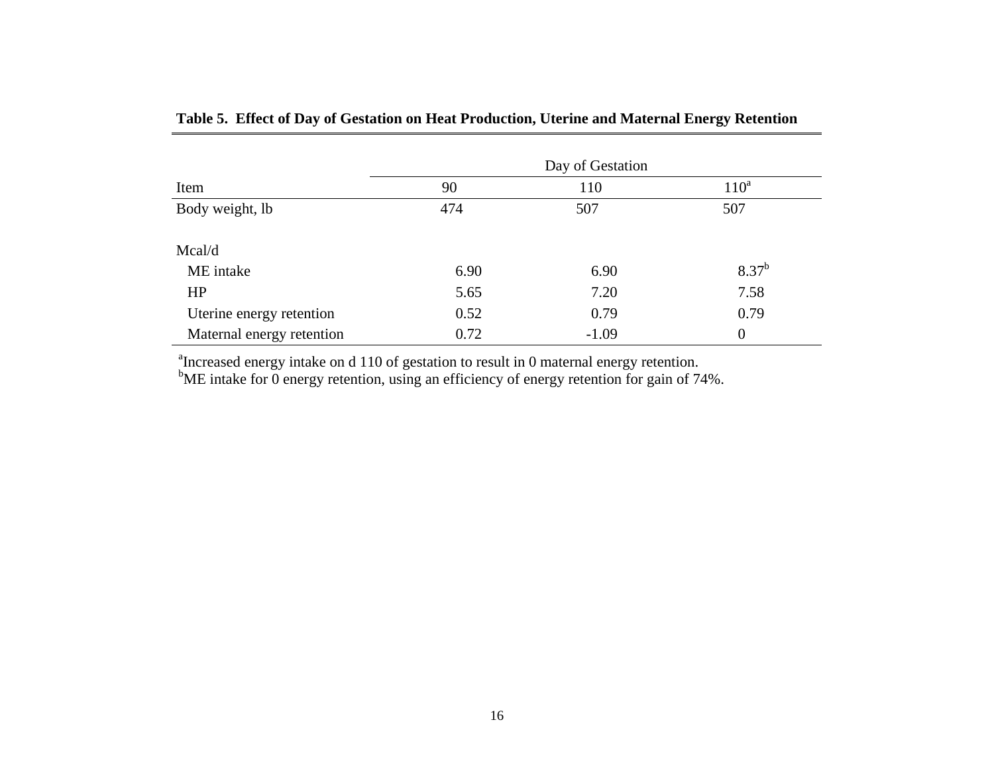|                           | Day of Gestation |         |            |  |  |  |  |
|---------------------------|------------------|---------|------------|--|--|--|--|
| Item                      | 90               | $110^a$ |            |  |  |  |  |
| Body weight, lb           | 474              | 507     | 507        |  |  |  |  |
| Mcal/d                    |                  |         |            |  |  |  |  |
| ME intake                 | 6.90             | 6.90    | $8.37^{b}$ |  |  |  |  |
| <b>HP</b>                 | 5.65             | 7.20    | 7.58       |  |  |  |  |
| Uterine energy retention  | 0.52             | 0.79    | 0.79       |  |  |  |  |
| Maternal energy retention | 0.72             | $-1.09$ | $\theta$   |  |  |  |  |

# **Table 5. Effect of Day of Gestation on Heat Production, Uterine and Maternal Energy Retention**

<sup>a</sup>Increased energy intake on d 110 of gestation to result in 0 maternal energy retention.

 $b$ ME intake for 0 energy retention, using an efficiency of energy retention for gain of 74%.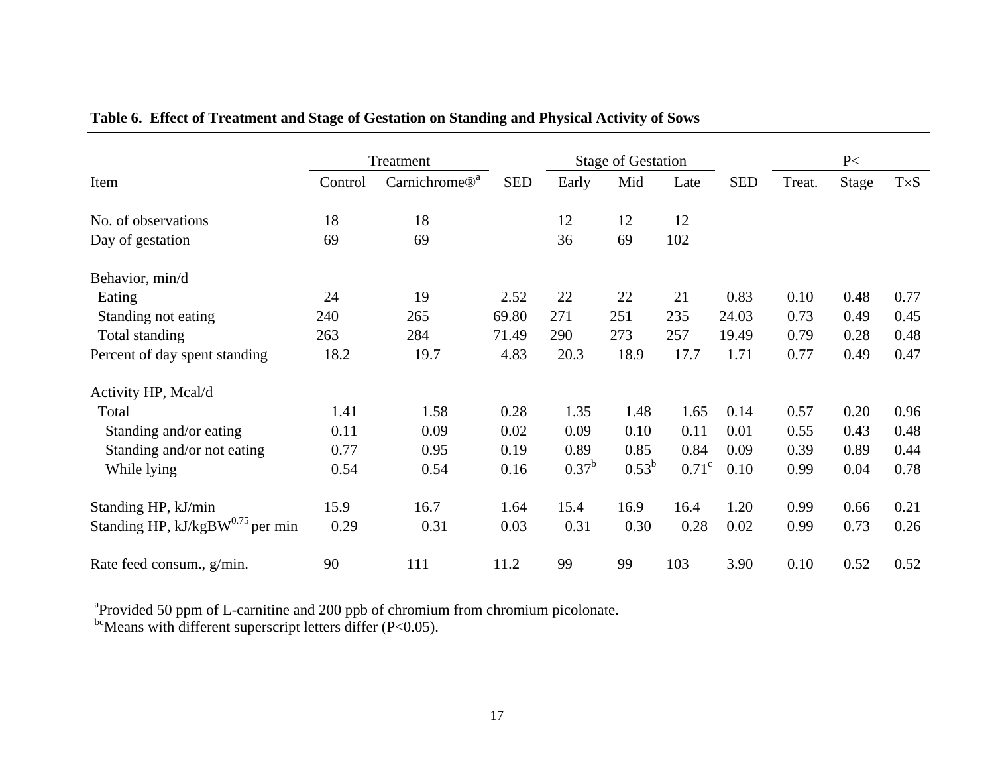|                                              |         | Treatment                 |            |                | <b>Stage of Gestation</b> |              |            | P<     |       |             |
|----------------------------------------------|---------|---------------------------|------------|----------------|---------------------------|--------------|------------|--------|-------|-------------|
| Item                                         | Control | Carnichrome® <sup>a</sup> | <b>SED</b> | Early          | Mid                       | Late         | <b>SED</b> | Treat. | Stage | $T\times S$ |
|                                              |         |                           |            |                |                           |              |            |        |       |             |
| No. of observations                          | 18      | 18                        |            | 12             | 12                        | 12           |            |        |       |             |
| Day of gestation                             | 69      | 69                        |            | 36             | 69                        | 102          |            |        |       |             |
| Behavior, min/d                              |         |                           |            |                |                           |              |            |        |       |             |
| Eating                                       | 24      | 19                        | 2.52       | 22             | 22                        | 21           | 0.83       | 0.10   | 0.48  | 0.77        |
| Standing not eating                          | 240     | 265                       | 69.80      | 271            | 251                       | 235          | 24.03      | 0.73   | 0.49  | 0.45        |
| Total standing                               | 263     | 284                       | 71.49      | 290            | 273                       | 257          | 19.49      | 0.79   | 0.28  | 0.48        |
| Percent of day spent standing                | 18.2    | 19.7                      | 4.83       | 20.3           | 18.9                      | 17.7         | 1.71       | 0.77   | 0.49  | 0.47        |
| Activity HP, Mcal/d                          |         |                           |            |                |                           |              |            |        |       |             |
| Total                                        | 1.41    | 1.58                      | 0.28       | 1.35           | 1.48                      | 1.65         | 0.14       | 0.57   | 0.20  | 0.96        |
| Standing and/or eating                       | 0.11    | 0.09                      | 0.02       | 0.09           | 0.10                      | 0.11         | 0.01       | 0.55   | 0.43  | 0.48        |
| Standing and/or not eating                   | 0.77    | 0.95                      | 0.19       | 0.89           | 0.85                      | 0.84         | 0.09       | 0.39   | 0.89  | 0.44        |
| While lying                                  | 0.54    | 0.54                      | 0.16       | $0.37^{\rm b}$ | $0.53^{b}$                | $0.71^\circ$ | 0.10       | 0.99   | 0.04  | 0.78        |
| Standing HP, kJ/min                          | 15.9    | 16.7                      | 1.64       | 15.4           | 16.9                      | 16.4         | 1.20       | 0.99   | 0.66  | 0.21        |
| Standing HP, kJ/kgBW <sup>0.75</sup> per min | 0.29    | 0.31                      | 0.03       | 0.31           | 0.30                      | 0.28         | 0.02       | 0.99   | 0.73  | 0.26        |
| Rate feed consum., g/min.                    | 90      | 111                       | 11.2       | 99             | 99                        | 103          | 3.90       | 0.10   | 0.52  | 0.52        |

# **Table 6. Effect of Treatment and Stage of Gestation on Standing and Physical Activity of Sows**

<sup>a</sup>Provided 50 ppm of L-carnitine and 200 ppb of chromium from chromium picolonate.

 $^{bc}$ Means with different superscript letters differ (P<0.05).